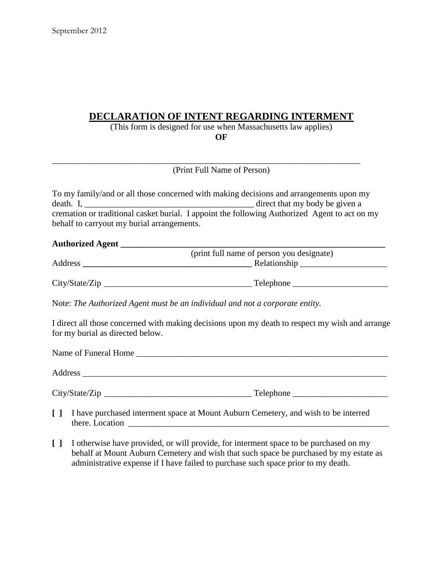## **DECLARATION OF INTENT REGARDING INTERMENT**

(This form is designed for use when Massachusetts law applies) **OF**

(Print Full Name of Person)

\_\_\_\_\_\_\_\_\_\_\_\_\_\_\_\_\_\_\_\_\_\_\_\_\_\_\_\_\_\_\_\_\_\_\_\_\_\_\_\_\_\_\_\_\_\_\_\_\_\_\_\_\_\_\_\_\_\_\_\_\_\_\_\_\_\_\_\_\_\_\_

| To my family/and or all those concerned with making decisions and arrangements upon my |                                                                                               |                                |  |  |
|----------------------------------------------------------------------------------------|-----------------------------------------------------------------------------------------------|--------------------------------|--|--|
| $death. I, \_$                                                                         |                                                                                               | direct that my body be given a |  |  |
| behalf to carryout my burial arrangements.                                             | cremation or traditional casket burial. I appoint the following Authorized Agent to act on my |                                |  |  |

## Authorized Agent **Authorized** Agent

|         | (print full name of person you designate) |
|---------|-------------------------------------------|
| Address | Relationship                              |
|         |                                           |

City/State/Zip \_\_\_\_\_\_\_\_\_\_\_\_\_\_\_\_\_\_\_\_\_\_\_\_\_\_\_\_\_\_\_\_\_\_ Telephone \_\_\_\_\_\_\_\_\_\_\_\_\_\_\_\_\_\_\_\_\_\_

Note: *The Authorized Agent must be an individual and not a corporate entity.*

I direct all those concerned with making decisions upon my death to respect my wish and arrange for my burial as directed below.

| Name of Funeral Home |           |  |
|----------------------|-----------|--|
| Address              |           |  |
| City/State/Zip       | Telephone |  |

- **[ ]** I have purchased interment space at Mount Auburn Cemetery, and wish to be interred there. Location  $\Box$
- **[ ]** I otherwise have provided, or will provide, for interment space to be purchased on my behalf at Mount Auburn Cemetery and wish that such space be purchased by my estate as administrative expense if I have failed to purchase such space prior to my death.